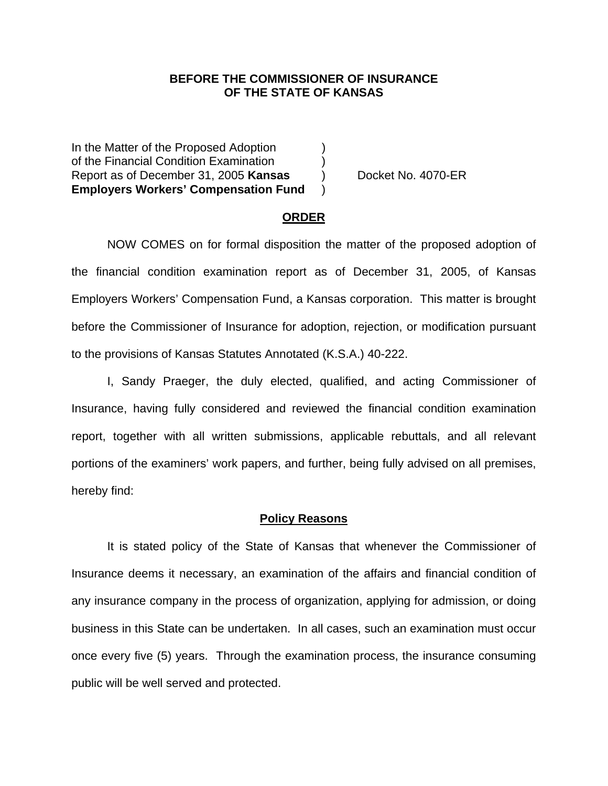### **BEFORE THE COMMISSIONER OF INSURANCE OF THE STATE OF KANSAS**

In the Matter of the Proposed Adoption  $\qquad)$ of the Financial Condition Examination ) Report as of December 31, 2005 **Kansas** ) Docket No. 4070-ER **Employers Workers' Compensation Fund** )

#### **ORDER**

 NOW COMES on for formal disposition the matter of the proposed adoption of the financial condition examination report as of December 31, 2005, of Kansas Employers Workers' Compensation Fund, a Kansas corporation. This matter is brought before the Commissioner of Insurance for adoption, rejection, or modification pursuant to the provisions of Kansas Statutes Annotated (K.S.A.) 40-222.

 I, Sandy Praeger, the duly elected, qualified, and acting Commissioner of Insurance, having fully considered and reviewed the financial condition examination report, together with all written submissions, applicable rebuttals, and all relevant portions of the examiners' work papers, and further, being fully advised on all premises, hereby find:

#### **Policy Reasons**

 It is stated policy of the State of Kansas that whenever the Commissioner of Insurance deems it necessary, an examination of the affairs and financial condition of any insurance company in the process of organization, applying for admission, or doing business in this State can be undertaken. In all cases, such an examination must occur once every five (5) years. Through the examination process, the insurance consuming public will be well served and protected.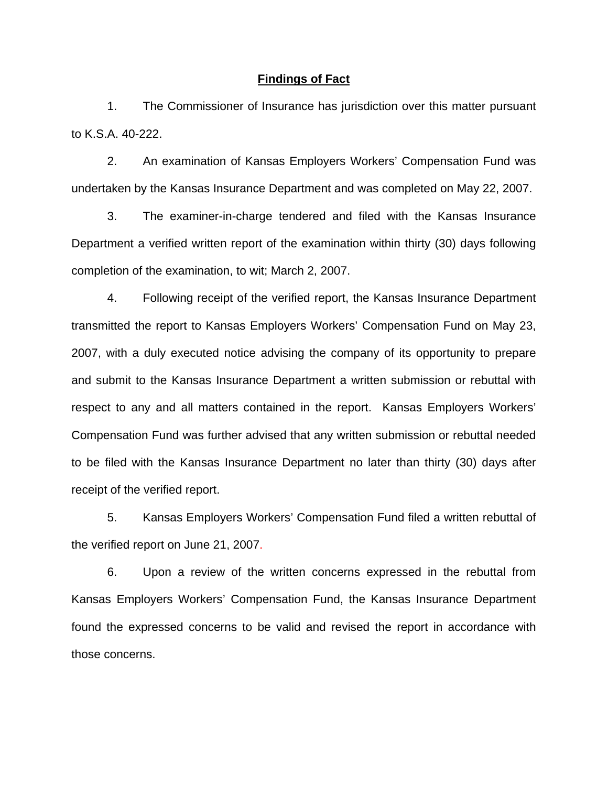#### **Findings of Fact**

 1. The Commissioner of Insurance has jurisdiction over this matter pursuant to K.S.A. 40-222.

 2. An examination of Kansas Employers Workers' Compensation Fund was undertaken by the Kansas Insurance Department and was completed on May 22, 2007.

 3. The examiner-in-charge tendered and filed with the Kansas Insurance Department a verified written report of the examination within thirty (30) days following completion of the examination, to wit; March 2, 2007.

 4. Following receipt of the verified report, the Kansas Insurance Department transmitted the report to Kansas Employers Workers' Compensation Fund on May 23, 2007, with a duly executed notice advising the company of its opportunity to prepare and submit to the Kansas Insurance Department a written submission or rebuttal with respect to any and all matters contained in the report. Kansas Employers Workers' Compensation Fund was further advised that any written submission or rebuttal needed to be filed with the Kansas Insurance Department no later than thirty (30) days after receipt of the verified report.

 5. Kansas Employers Workers' Compensation Fund filed a written rebuttal of the verified report on June 21, 2007.

 6. Upon a review of the written concerns expressed in the rebuttal from Kansas Employers Workers' Compensation Fund, the Kansas Insurance Department found the expressed concerns to be valid and revised the report in accordance with those concerns.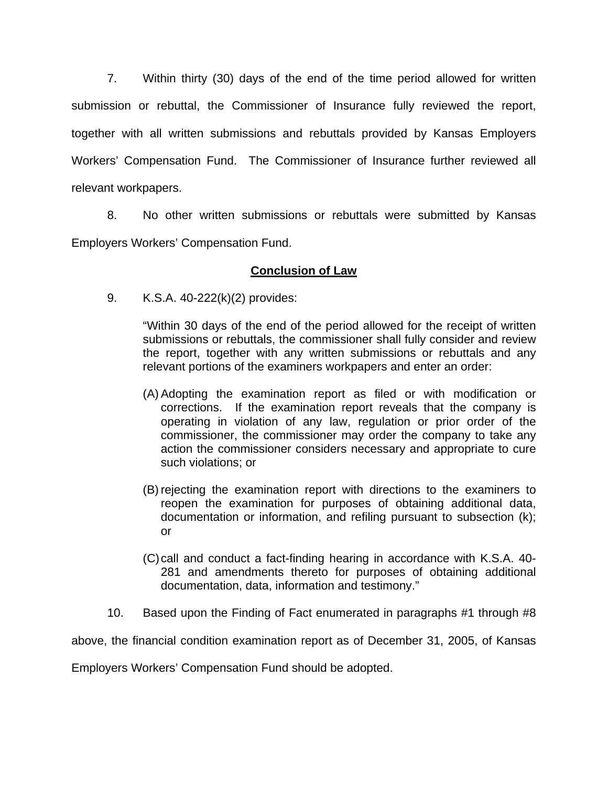7. Within thirty (30) days of the end of the time period allowed for written submission or rebuttal, the Commissioner of Insurance fully reviewed the report, together with all written submissions and rebuttals provided by Kansas Employers Workers' Compensation Fund. The Commissioner of Insurance further reviewed all relevant workpapers.

 8. No other written submissions or rebuttals were submitted by Kansas Employers Workers' Compensation Fund.

## **Conclusion of Law**

9. K.S.A. 40-222(k)(2) provides:

"Within 30 days of the end of the period allowed for the receipt of written submissions or rebuttals, the commissioner shall fully consider and review the report, together with any written submissions or rebuttals and any relevant portions of the examiners workpapers and enter an order:

- (A) Adopting the examination report as filed or with modification or corrections. If the examination report reveals that the company is operating in violation of any law, regulation or prior order of the commissioner, the commissioner may order the company to take any action the commissioner considers necessary and appropriate to cure such violations; or
- (B) rejecting the examination report with directions to the examiners to reopen the examination for purposes of obtaining additional data, documentation or information, and refiling pursuant to subsection (k); or
- (C) call and conduct a fact-finding hearing in accordance with K.S.A. 40- 281 and amendments thereto for purposes of obtaining additional documentation, data, information and testimony."
- 10. Based upon the Finding of Fact enumerated in paragraphs #1 through #8

above, the financial condition examination report as of December 31, 2005, of Kansas

Employers Workers' Compensation Fund should be adopted.